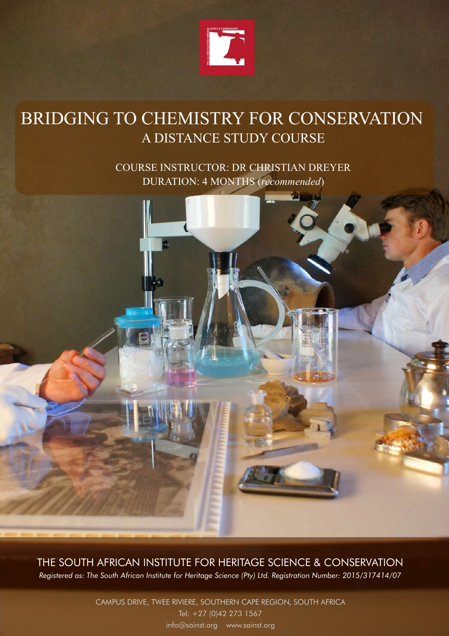

## BRIDGING TO CHEMISTRY FOR CONSERVATION A DISTANCE STUDY COURSE

COURSE INSTRUCTOR: DR CHRISTIAN DREYER DURATION: 4 MONTHS (*recommended*)



THE SOUTH AFRICAN INSTITUTE FOR HERITAGE SCIENCE & CONSERVATION *Registered as: The South African Institute for Heritage Science (Pty) Ltd. Registration Number: 2015/317414/07*

> CAMPUS DRIVE, TWEE RIVIERE, SOUTHERN CAPE REGION, SOUTH AFRICA Tel: +27 (0)42 273 1567 [info@sainst.org](mailto:info@sainst.org) [www.sainst.org](http://www.sainst.org/)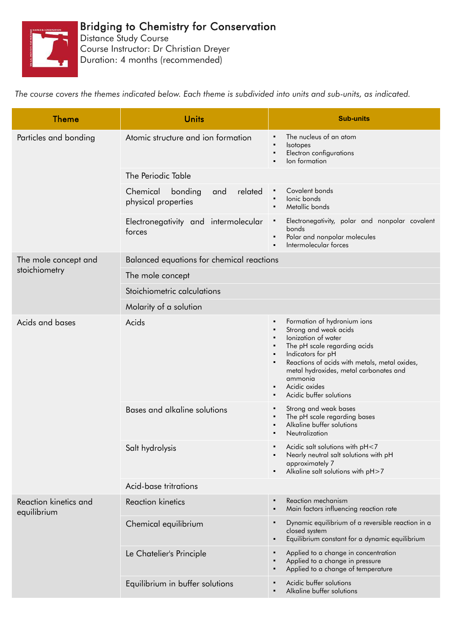

## Bridging to Chemistry for Conservation

Distance Study Course Course Instructor: Dr Christian Dreyer Duration: 4 months (recommended)

*The course covers the themes indicated below. Each theme is subdivided into units and sub-units, as indicated.*

| <b>Theme</b>                          | <b>Units</b>                                                 | <b>Sub-units</b>                                                                                                                                                                                                                                                                                                                 |  |
|---------------------------------------|--------------------------------------------------------------|----------------------------------------------------------------------------------------------------------------------------------------------------------------------------------------------------------------------------------------------------------------------------------------------------------------------------------|--|
| Particles and bonding                 | Atomic structure and ion formation                           | The nucleus of an atom<br>Isotopes<br>Electron configurations<br>lon formation                                                                                                                                                                                                                                                   |  |
|                                       | The Periodic Table                                           |                                                                                                                                                                                                                                                                                                                                  |  |
|                                       | Chemical<br>related<br>bonding<br>and<br>physical properties | Covalent bonds<br>lonic bonds<br>$\blacksquare$<br>Metallic bonds                                                                                                                                                                                                                                                                |  |
|                                       | Electronegativity and intermolecular<br>forces               | Electronegativity, polar and nonpolar covalent<br>bonds<br>Polar and nonpolar molecules<br>Intermolecular forces                                                                                                                                                                                                                 |  |
| The mole concept and<br>stoichiometry | Balanced equations for chemical reactions                    |                                                                                                                                                                                                                                                                                                                                  |  |
|                                       | The mole concept                                             |                                                                                                                                                                                                                                                                                                                                  |  |
|                                       | Stoichiometric calculations                                  |                                                                                                                                                                                                                                                                                                                                  |  |
|                                       | Molarity of a solution                                       |                                                                                                                                                                                                                                                                                                                                  |  |
| Acids and bases                       | Acids                                                        | Formation of hydronium ions<br>٠<br>Strong and weak acids<br>lonization of water<br>The pH scale regarding acids<br>Indicators for pH<br>٠<br>Reactions of acids with metals, metal oxides,<br>metal hydroxides, metal carbonates and<br>ammonia<br>Acidic oxides<br>$\blacksquare$<br>Acidic buffer solutions<br>$\blacksquare$ |  |
|                                       | Bases and alkaline solutions                                 | Strong and weak bases<br>The pH scale regarding bases<br>Alkaline buffer solutions<br>Neutralization                                                                                                                                                                                                                             |  |
|                                       | Salt hydrolysis                                              | Acidic salt solutions with pH<7<br>Nearly neutral salt solutions with pH<br>approximately 7<br>Alkaline salt solutions with pH>7                                                                                                                                                                                                 |  |
|                                       | Acid-base tritrations                                        |                                                                                                                                                                                                                                                                                                                                  |  |
| Reaction kinetics and<br>equilibrium  | <b>Reaction kinetics</b>                                     | Reaction mechanism<br>Main factors influencing reaction rate                                                                                                                                                                                                                                                                     |  |
|                                       | Chemical equilibrium                                         | Dynamic equilibrium of a reversible reaction in a<br>closed system<br>Equilibrium constant for a dynamic equilibrium                                                                                                                                                                                                             |  |
|                                       | Le Chatelier's Principle                                     | Applied to a change in concentration<br>Applied to a change in pressure<br>Applied to a change of temperature                                                                                                                                                                                                                    |  |
|                                       | Equilibrium in buffer solutions                              | Acidic buffer solutions<br>Alkaline buffer solutions                                                                                                                                                                                                                                                                             |  |